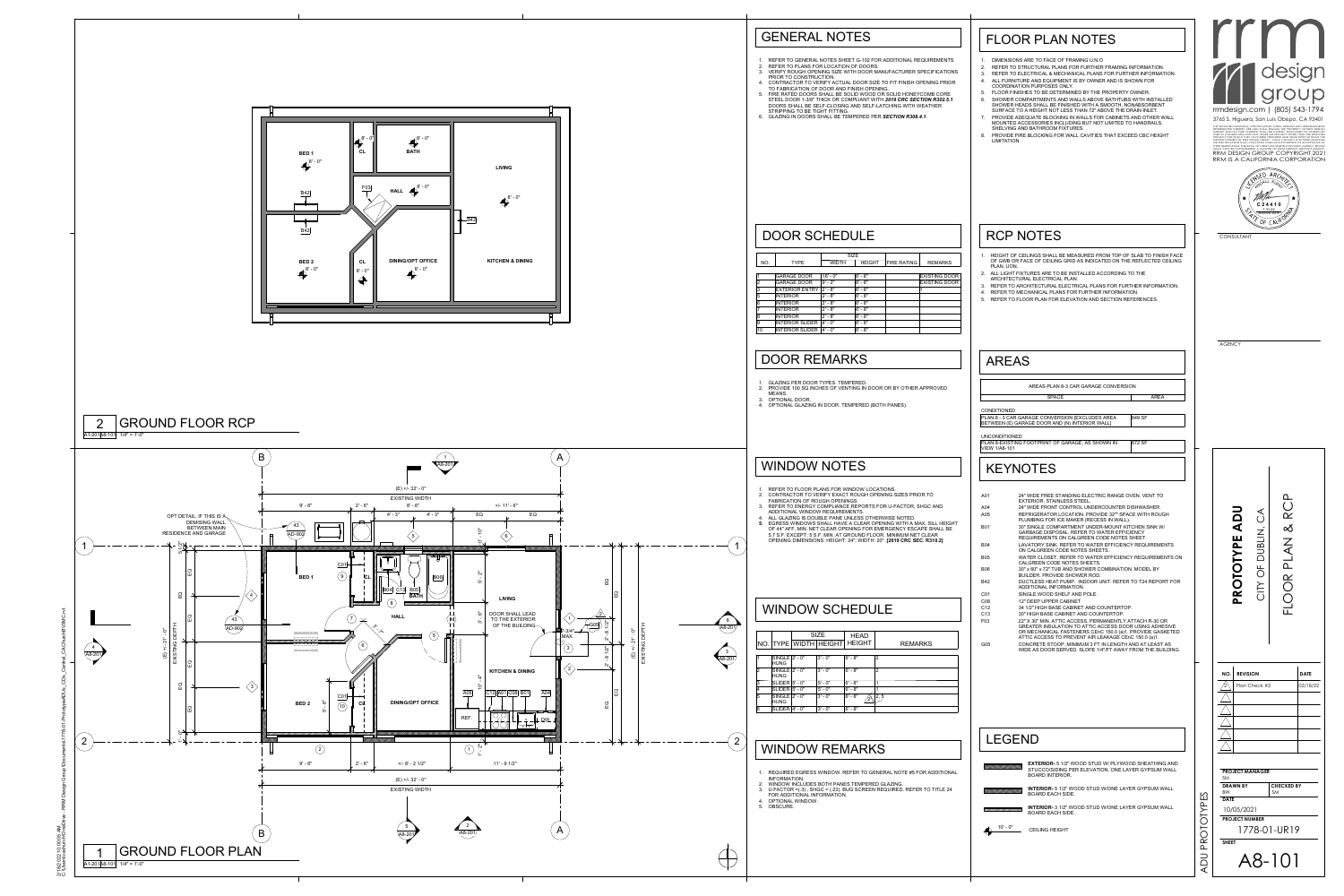

| DIMENSIONS ARE TO FACE OF FRAMING U.N.O.<br>1.<br>2.<br>REFER TO STRUCTURAL PLANS FOR FURTHER FRAMING INFORMATION.<br>3.<br>REFER TO ELECTRICAL & MECHANICAL PLANS FOR FURTHER INFORMATION.<br>ALL FURNITURE AND EQUIPMENT IS BY OWNER AND IS SHOWN FOR<br>4.<br>COORDINATION PURPOSES ONLY.<br>FLOOR FINISHES TO BE DETERMINED BY THE PROPERTY OWNER.<br>5.<br>SHOWER COMPARTMENTS AND WALLS ABOVE BATHTUBS WITH INSTALLED<br>6.<br>SHOWER HEADS SHALL BE FINISHED WITH A SMOOTH, NONABSORBENT<br>SURFACE TO A HEIGHT NOT LESS THAN 72" ABOVE THE DRAIN INLET.<br>PROVIDE ADEQUATE BLOCKING IN WALLS FOR CABINETS AND OTHER WALL<br>7.<br>MOUNTED ACCESSORIES INCLUDING BUT NOT LIMITED TO HANDRAILS.<br>SHELVING AND BATHROOM FIXTURES.<br>PROVIDE FIRE BLOCKING FOR WALL CAVITIES THAT EXCEED CBC HEIGHT<br>8.<br>LIMITATION.                                                                                                                                                                                                                                                                                                                                                                                                                                                                                                                                                                                                                                              | rrmdesign.com   (805) 543-1794<br>3765 S. Higuera, San Luis Obispo, CA 93401<br>THE INCLUDED DRAWINGS, SPECIFICATIONS, IDEAS, DESIGNS AND ARRANGEMENT<br>REPRESENTED THEREBY ARE AND SHALL REMAIN THE PROPERTY OF RRM DESIGN<br>GROUP AND NO PART THEREOF SHALL BE COPIED, DISCLOSED TO OTHERS OI<br>USED IN CONNECTION WITH ANY WORK OR PROJECT OTHER THAN THE SPECIFIED PROJECT FOR WHICH THEY HAVE BEEN PREPARED AND DEVELOPED WITHOUT THE<br>WRITTEN CONSENT OF RRM DESIGN GROUP. VISUAL CONTACT WITH THESE DRAWING<br>OR SPECIFICATIONS SHALL CONSTITUTE CONCLUSIVE EVIDENCE OF ACCEPTANCE O<br>THESE RESTRICTIONS. SUBMITTAL OF THESE DOCUMENTS FOR PUBLIC AGENCY REVIEW<br>SHALL NOT BE CONSIDERED A WAIVER OF RRM DESIGN GROUP'S RIGHTS<br>RRM DESIGN GROUP COPYRIGHT 2021<br>RRM IS A CALIFORNIA CORPORATION |
|-------------------------------------------------------------------------------------------------------------------------------------------------------------------------------------------------------------------------------------------------------------------------------------------------------------------------------------------------------------------------------------------------------------------------------------------------------------------------------------------------------------------------------------------------------------------------------------------------------------------------------------------------------------------------------------------------------------------------------------------------------------------------------------------------------------------------------------------------------------------------------------------------------------------------------------------------------------------------------------------------------------------------------------------------------------------------------------------------------------------------------------------------------------------------------------------------------------------------------------------------------------------------------------------------------------------------------------------------------------------------------------------------------------------------------------------------------------------------------|-----------------------------------------------------------------------------------------------------------------------------------------------------------------------------------------------------------------------------------------------------------------------------------------------------------------------------------------------------------------------------------------------------------------------------------------------------------------------------------------------------------------------------------------------------------------------------------------------------------------------------------------------------------------------------------------------------------------------------------------------------------------------------------------------------------------------|
| <b>RCP NOTES</b>                                                                                                                                                                                                                                                                                                                                                                                                                                                                                                                                                                                                                                                                                                                                                                                                                                                                                                                                                                                                                                                                                                                                                                                                                                                                                                                                                                                                                                                              | ANDALL<br>★<br><b>C24410</b><br>1-31-22<br><b>RENEWAL DATE</b><br>CONSULTANT                                                                                                                                                                                                                                                                                                                                                                                                                                                                                                                                                                                                                                                                                                                                          |
| 1. HEIGHT OF CEILINGS SHALL BE MEASURED FROM TOP OF SLAB TO FINISH FACE<br>OF GWB OR FACE OF CEILING GRID AS INDICATED ON THE REFLECTED CEILING<br>PLAN, UON.<br>2. ALL LIGHT FIXTURES ARE TO BE INSTALLED ACCORDING TO THE<br>ARCHITECTURAL ELECTRICAL PLAN.<br>3. REFER TO ARCHITECTURAL ELECTRICAL PLANS FOR FURTHER INFORMATION.<br>4. REFER TO MECHANICAL PLANS FOR FURTHER INFORMATION.<br>5. REFER TO FLOOR PLAN FOR ELEVATION AND SECTION REFERENCES.                                                                                                                                                                                                                                                                                                                                                                                                                                                                                                                                                                                                                                                                                                                                                                                                                                                                                                                                                                                                                 |                                                                                                                                                                                                                                                                                                                                                                                                                                                                                                                                                                                                                                                                                                                                                                                                                       |
| <b>AREAS</b>                                                                                                                                                                                                                                                                                                                                                                                                                                                                                                                                                                                                                                                                                                                                                                                                                                                                                                                                                                                                                                                                                                                                                                                                                                                                                                                                                                                                                                                                  | <b>AGENCY</b>                                                                                                                                                                                                                                                                                                                                                                                                                                                                                                                                                                                                                                                                                                                                                                                                         |
| AREAS-PLAN 8-3 CAR GARAGE CONVERSION                                                                                                                                                                                                                                                                                                                                                                                                                                                                                                                                                                                                                                                                                                                                                                                                                                                                                                                                                                                                                                                                                                                                                                                                                                                                                                                                                                                                                                          |                                                                                                                                                                                                                                                                                                                                                                                                                                                                                                                                                                                                                                                                                                                                                                                                                       |
| <b>AREA</b><br><b>SPACE</b><br><b>CONDITIONED</b><br>649 SF<br>PLAN 8 - 3 CAR GARAGE CONVERSION [EXCLUDES AREA<br>BETWEEN (E) GARAGE DOOR AND (N) INTERIOR WALL]<br><b>UNCONDITIONED</b><br>672 SF<br>PLAN 8-EXISTING FOOTPRINT OF GARAGE, AS SHOWN IN<br>VIEW 1/A8-101                                                                                                                                                                                                                                                                                                                                                                                                                                                                                                                                                                                                                                                                                                                                                                                                                                                                                                                                                                                                                                                                                                                                                                                                       |                                                                                                                                                                                                                                                                                                                                                                                                                                                                                                                                                                                                                                                                                                                                                                                                                       |
| <b>KEYNOTES</b>                                                                                                                                                                                                                                                                                                                                                                                                                                                                                                                                                                                                                                                                                                                                                                                                                                                                                                                                                                                                                                                                                                                                                                                                                                                                                                                                                                                                                                                               |                                                                                                                                                                                                                                                                                                                                                                                                                                                                                                                                                                                                                                                                                                                                                                                                                       |
|                                                                                                                                                                                                                                                                                                                                                                                                                                                                                                                                                                                                                                                                                                                                                                                                                                                                                                                                                                                                                                                                                                                                                                                                                                                                                                                                                                                                                                                                               |                                                                                                                                                                                                                                                                                                                                                                                                                                                                                                                                                                                                                                                                                                                                                                                                                       |
| A01<br>24" WIDE FREE STANDING ELECTRIC RANGE OVEN, VENT TO<br><b>EXTERIOR, STAINLESS STEEL.</b><br>A04<br>24" WIDE FRONT CONTROL UNDERCOUNTER DISHWASHER.<br>A05<br>REFRIGERATOR LOCATION. PROVIDE 32"" SPACE WITH ROUGH<br>PLUMBING FOR ICE MAKER (RECESS IN WALL).<br><b>B01</b><br>30" SINGLE COMPARTMENT UNDER-MOUNT KITCHEN SINK W/<br><b>GARBAGE DISPOSAL. REFER TO WATER EFFICIENCY</b><br>REQUIREMENTS ON CALGREEN CODE NOTES SHEET.<br>LAVATORY SINK. REFER TO WATER EFFICIENCY REQUIREMENTS<br><b>B04</b><br>ON CALGREEN CODE NOTES SHEETS.<br>WATER CLOSET. REFER TO WATER EFFICIENCY REQUIREMENTS ON<br><b>B05</b><br>CALGREEN CODE NOTES SHEETS.<br>30" x 60" x 72" TUB AND SHOWER COMBINATION. MODEL BY<br><b>B06</b><br><b>BUILDER, PROVIDE SHOWER ROD.</b><br>DUCTLESS HEAT PUMP. INDOOR UNIT. REFER TO T24 REPORT FOR<br><b>B42</b><br>ADDITIONAL INFORMATION.<br>C01<br>SINGLE WOOD SHELF AND POLE.<br>C <sub>08</sub><br>12" DEEP UPPER CABINET<br>C <sub>12</sub><br>34 1/2" HIGH BASE CABINET AND COUNTERTOP.<br>C <sub>13</sub><br>30" HIGH BASE CABINET AND COUNTERTOP.<br>F03<br>22" X 30" MIN. ATTIC ACCESS. PERMANENTLY ATTACH R-30 OR<br>GREATER INSULATION TO ATTIC ACCESS DOOR USING ADHESIVE<br>OR MECHANICAL FASTENERS CEnC 150.0 (a)1. PROVIDE GASKETED<br>ATTIC ACCESS TO PREVENT AIR LEAKAGE CEnC 150.0 (a)1.<br>G05<br>CONCRETE STOOP. MINIMUM 3 FT IN LENGTH AND AT LEAST AS<br>WIDE AS DOOR SERVED. SLOPE 1/4"/FT AWAY FROM THE BUILDING | <u> വ</u><br>⋖<br>$\overline{\mathsf{d}}$<br>$\alpha$<br>( )<br><u>ব</u><br>య<br><b>DUBLIN</b><br>ш<br>$\overline{\mathcal{L}}$<br>OTYP<br>$\Omega$<br>Щ<br>$\bigcirc$<br>Ŏ<br>$\alpha$<br>CITY<br>$\mathbf{R}$<br>匸                                                                                                                                                                                                                                                                                                                                                                                                                                                                                                                                                                                                  |
|                                                                                                                                                                                                                                                                                                                                                                                                                                                                                                                                                                                                                                                                                                                                                                                                                                                                                                                                                                                                                                                                                                                                                                                                                                                                                                                                                                                                                                                                               | <b>REVISION</b><br>NO.<br>Plan Check #2<br>$\langle 2 \rangle$                                                                                                                                                                                                                                                                                                                                                                                                                                                                                                                                                                                                                                                                                                                                                        |
| <b>LEGEND</b>                                                                                                                                                                                                                                                                                                                                                                                                                                                                                                                                                                                                                                                                                                                                                                                                                                                                                                                                                                                                                                                                                                                                                                                                                                                                                                                                                                                                                                                                 |                                                                                                                                                                                                                                                                                                                                                                                                                                                                                                                                                                                                                                                                                                                                                                                                                       |
| <b>EXTERIOR-</b> 5 1/2" WOOD STUD W/ PLYWOOD SHEATHING AND<br>STUCCO/SIDING PER ELEVATION, ONE LAYER GYPSUM WALL<br><b>BOARD INTERIOR.</b>                                                                                                                                                                                                                                                                                                                                                                                                                                                                                                                                                                                                                                                                                                                                                                                                                                                                                                                                                                                                                                                                                                                                                                                                                                                                                                                                    | <b>PROJECT MANAGER</b><br><b>SM</b><br><b>CHECKED BY</b><br><b>DRAWN BY</b>                                                                                                                                                                                                                                                                                                                                                                                                                                                                                                                                                                                                                                                                                                                                           |
| <b>INTERIOR- 5 1/2" WOOD STUD W/ONE LAYER GYPSUM WALL</b><br><u> Martin Martin Sa</u><br>$\sum$<br><b>BOARD EACH SIDE.</b><br><b>INTERIOR- 3 1/2" WOOD STUD W/ONE LAYER GYPSUM WALL</b><br>AMMANAMAN<br><b>BOARD EACH SIDE.</b>                                                                                                                                                                                                                                                                                                                                                                                                                                                                                                                                                                                                                                                                                                                                                                                                                                                                                                                                                                                                                                                                                                                                                                                                                                               | BW.<br><b>SM</b><br><b>DATE</b><br>10/05/2021                                                                                                                                                                                                                                                                                                                                                                                                                                                                                                                                                                                                                                                                                                                                                                         |
| OTOTYP<br>10' - 0"<br><b>CEILING HEIGHT</b><br>$\boldsymbol{\alpha}$                                                                                                                                                                                                                                                                                                                                                                                                                                                                                                                                                                                                                                                                                                                                                                                                                                                                                                                                                                                                                                                                                                                                                                                                                                                                                                                                                                                                          | <b>PROJECT NUMBER</b><br>1778-01-UR19<br><b>SHEET</b>                                                                                                                                                                                                                                                                                                                                                                                                                                                                                                                                                                                                                                                                                                                                                                 |

- 1. REQUIRED EGRESS WINDOW. REFER TO GENERAL NOTE #5 FOR ADDITI
- INFORMATION. 2. WINDOW INCLUDES BOTH PANES TEMPERED GLAZING. 3. U-FACTOR =(.3) , SHGC = (.23). BUG SCREEN REQUIRED. REFER TO TITLE 24
- FOR ADDITIONAL INFORMATION.
- 4. OPTIONAL WINDOW. 5. OBSCURE.

|                |                        | <b>SIZE</b>  |               |                    |                      |
|----------------|------------------------|--------------|---------------|--------------------|----------------------|
| NO.            | <b>TYPE</b>            | <b>WIDTH</b> | <b>HEIGHT</b> | <b>FIRE RATING</b> | <b>REMARKS</b>       |
|                |                        |              |               |                    |                      |
| 1              | <b>GARAGE DOOR</b>     | $16' - 0''$  | $6' - 8"$     |                    | <b>EXISTING DOOR</b> |
| $\overline{2}$ | <b>GARAGE DOOR</b>     | $9' - 2"$    | $6' - 8"$     |                    | <b>EXISTING DOOR</b> |
| 3              | <b>EXTERIOR ENTRY</b>  | $2' - 8''$   | $6' - 8''$    |                    |                      |
| 5              | <b>INTERIOR</b>        | $2' - 8"$    | $6' - 8''$    |                    |                      |
| 6              | <b>INTERIOR</b>        | $2' - 8''$   | $6' - 8''$    |                    |                      |
| 7              | <b>INTERIOR</b>        | $2' - 8''$   | $6' - 8''$    |                    |                      |
| 8              | <b>INTERIOR</b>        | $2' - 8''$   | $6' - 8''$    |                    |                      |
| 9              | <b>INTERIOR SLIDER</b> | $4' - 0''$   | $6' - 8"$     |                    |                      |
| 10             | <b>INTERIOR SLIDER</b> | 4' - 0"      | $6' - 8"$     |                    |                      |

- 1. REFER TO GENERAL NOTES SHEET G-102 FOR ADDITIONAL REQUIREME 2. REFER TO PLANS FOR LOCATION OF DOORS. 3. VERIFY ROUGH OPENING SIZE WITH DOOR MANUFACTURER SPECIFICATIONS
- PRIOR TO CONSTRUCTION. 4. CONTRACTOR TO VERIFY ACTUAL DOOR SIZE TO FIT FINISH OPENING P
- TO FABRICATION OF DOOR AND FINISH OPENING. FIRE RATED DOORS SHALL BE SOLID WOOD OR SOLID HONEYCOMB CO STEEL DOOR 1-3/8" THICK OR COMPLIANT WITH 2019 CRC SECTION R302 DOORS SHALL BE SELF-CLOSING AND SELF-LATCHING WITH WEATHER
- STRIPPING TO BE TIGHT FITTING. 6. GLAZING IN DOORS SHALL BE TEMPERED PER *SECTION R308.4.1*.

### WINDOW SCHEDULE

### DOOR SCHEDULE

- 1. REFER TO FLOOR PLANS FOR WINDOW LOCATIONS. 2. CONTRACTOR TO VERIFY EXACT ROUGH OPENING SIZES PRIOR TO
- FABRICATION OF ROUGH OPENINGS. 3. REFER TO ENERGY COMPLIANCE REPORTS FOR U-FACTOR, SHGC AND ADDITIONAL WINDOW REQUIREMENTS.
- 4. ALL GLAZING IS DOUBLE PANE UNLESS OTHERWISE NOTED. **5. EGRESS WINDOWS SHALL HAVE A CLEAR OPENING WITH A MAX. SILL H** OF 44" AFF, MIN. NET CLEAR OPENING FOR EMERGENCY ESCAPE SHALL BE 5.7 S.F. EXCEPT: 5 S.F. MIN. AT GROUND FLOOR. MINIMUM NET CLEAR OPENING DIMENSIONS: HEIGHT: 24", WIDTH: 20". **[2019 CRC SEC. R310.2]**

# WINDOW NOTES

|   |                                    | <b>SIZE</b> |            | <b>HEAD</b>                          |                |
|---|------------------------------------|-------------|------------|--------------------------------------|----------------|
|   |                                    |             |            | NO.   TYPE   WIDTH   HEIGHT   HEIGHT | <b>REMARKS</b> |
|   |                                    |             |            |                                      |                |
|   | SINGLE 2' - 0"<br><b>HUNG</b>      |             | $3' - 0''$ | $6' - 8"$                            | 2              |
| 2 | $SINGLE$ $2' - 0''$<br><b>HUNG</b> |             | $3' - 0''$ | $6' - 8''$                           | $\overline{2}$ |
| 3 | $SLIDER$ $5'$ - $0"$               |             | $5' - 0''$ | $6' - 8''$                           | 1              |
| 4 | $SLIDER   5' - 0"$                 |             | $5' - 0''$ | $6' - 8"$                            | 1              |
| 5 | $SINGLE$ $2' - 0''$<br><b>HUNG</b> |             | $3' - 0''$ | $6' - 8"$<br>ኅ                       | 2, 5           |
| 6 | $SLIDER$  4' - 0"                  |             | $3' - 0''$ | $6' - 8"$                            |                |

# WINDOW REMARKS

- 1. GLAZING PER DOOR TYPES. TEMPERED. 2. PROVIDE 100 SQ INCHES OF VENTING IN DOOR OR BY OTHER APPROVE MEANS.
- 3. OPTIONAL DOOR. 4. OPTIONAL GLAZING IN DOOR. TEMPERED (BOTH PANES).

#### DOOR REMARKS

#### GENERAL NOTES